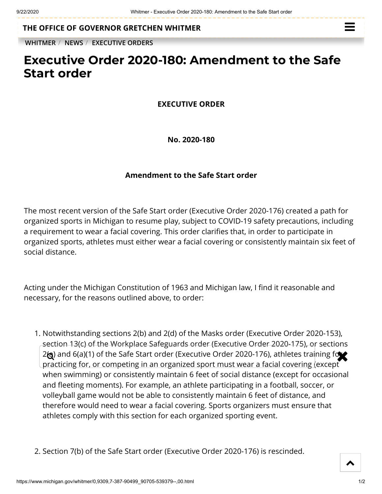**THE OFFICE OF [GOVERNOR GRETCHEN WHITMER](https://www.michigan.gov/whitmer/)**

**[WHITMER](https://www.michigan.gov/whitmer/)** / **[NEWS](https://www.michigan.gov/whitmer/0,9309,7-387-90499---,00.html)** / **[EXECUTIVE ORDERS](https://www.michigan.gov/whitmer/0,9309,7-387-90499_90705---,00.html)**

## **Executive Order 2020-180: Amendment to the Safe Start order**

## **EXECUTIVE ORDER**

**No. 2020-180**

## **Amendment to the Safe Start order**

The most recent version of the Safe Start order (Executive Order 2020-176) created a path for organized sports in Michigan to resume play, subject to COVID-19 safety precautions, including a requirement to wear a facial covering. This order clarifies that, in order to participate in organized sports, athletes must either wear a facial covering or consistently maintain six feet of social distance.

Acting under the Michigan Constitution of 1963 and Michigan law, I find it reasonable and necessary, for the reasons outlined above, to order:

1. Notwithstanding sections 2(b) and 2(d) of the Masks order (Executive Order 2020-153), section 13(c) of the Workplace Safeguards order (Executive Order 2020-175), or sections  $2\text{Q}$ ) and 6(a)(1) of the Safe Start order (Executive Order 2020-176), athletes training for  $\text{Q}$ practicing for, or competing in an organized sport must wear a facial covering (except when swimming) or consistently maintain 6 feet of social distance (except for occasional and fleeting moments). For example, an athlete participating in a football, soccer, or volleyball game would not be able to consistently maintain 6 feet of distance, and therefore would need to wear a facial covering. Sports organizers must ensure that athletes comply with this section for each organized sporting event.

2. Section 7(b) of the Safe Start order (Executive Order 2020-176) is rescinded.

 $\blacktriangle$ 

 $\equiv$